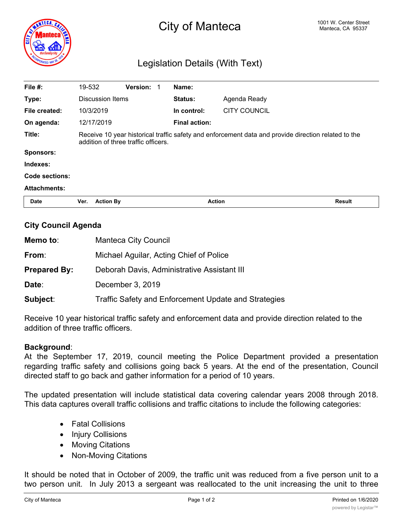

# City of Manteca **Manteca 1001 W. Center Street** City of Manteca, CA 95337

## Legislation Details (With Text)

| File $#$ :          | 19-532                                                                                                                                     | Version: | Name:                |                     |               |
|---------------------|--------------------------------------------------------------------------------------------------------------------------------------------|----------|----------------------|---------------------|---------------|
| Type:               | <b>Discussion Items</b>                                                                                                                    |          | Status:              | Agenda Ready        |               |
| File created:       | 10/3/2019                                                                                                                                  |          | In control:          | <b>CITY COUNCIL</b> |               |
| On agenda:          | 12/17/2019                                                                                                                                 |          | <b>Final action:</b> |                     |               |
| Title:              | Receive 10 year historical traffic safety and enforcement data and provide direction related to the<br>addition of three traffic officers. |          |                      |                     |               |
| <b>Sponsors:</b>    |                                                                                                                                            |          |                      |                     |               |
| Indexes:            |                                                                                                                                            |          |                      |                     |               |
| Code sections:      |                                                                                                                                            |          |                      |                     |               |
| <b>Attachments:</b> |                                                                                                                                            |          |                      |                     |               |
| <b>Date</b>         | <b>Action By</b><br>Ver.                                                                                                                   |          | <b>Action</b>        |                     | <b>Result</b> |

#### **City Council Agenda**

| Memo to:            | <b>Manteca City Council</b>                          |  |
|---------------------|------------------------------------------------------|--|
| From:               | Michael Aguilar, Acting Chief of Police              |  |
| <b>Prepared By:</b> | Deborah Davis, Administrative Assistant III          |  |
| Date:               | December 3, 2019                                     |  |
| Subject:            | Traffic Safety and Enforcement Update and Strategies |  |

Receive 10 year historical traffic safety and enforcement data and provide direction related to the addition of three traffic officers.

#### **Background**:

At the September 17, 2019, council meeting the Police Department provided a presentation regarding traffic safety and collisions going back 5 years. At the end of the presentation, Council directed staff to go back and gather information for a period of 10 years.

The updated presentation will include statistical data covering calendar years 2008 through 2018. This data captures overall traffic collisions and traffic citations to include the following categories:

- · Fatal Collisions
- · Injury Collisions
- · Moving Citations
- · Non-Moving Citations

It should be noted that in October of 2009, the traffic unit was reduced from a five person unit to a two person unit. In July 2013 a sergeant was reallocated to the unit increasing the unit to three